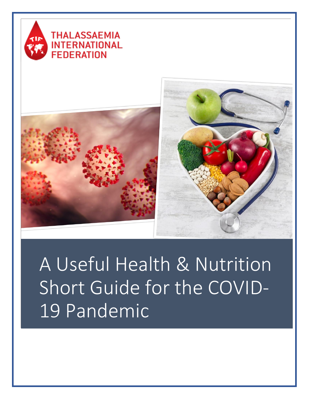





A Useful Health & Nutrition Short Guide for the COVID-19 Pandemic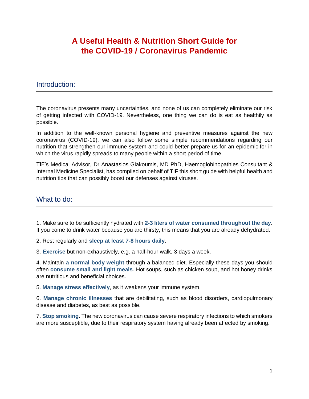# **A Useful Health & Nutrition Short Guide for the COVID-19 / Coronavirus Pandemic**

## Introduction:

The coronavirus presents many uncertainties, and none of us can completely eliminate our risk of getting infected with COVID-19. Nevertheless, one thing we can do is eat as healthily as possible.

In addition to the well-known personal hygiene and preventive measures against the new coronavirus (COVID-19), we can also follow some simple recommendations regarding our nutrition that strengthen our immune system and could better prepare us for an epidemic for in which the virus rapidly spreads to many people within a short period of time.

TIF's Medical Advisor, Dr Anastasios Giakoumis, MD PhD, Haemoglobinopathies Consultant & Internal Medicine Specialist, has compiled on behalf of TIF this short guide with helpful health and nutrition tips that can possibly boost our defenses against viruses.

## What to do:

1. Make sure to be sufficiently hydrated with **2-3 liters of water consumed throughout the day**. If you come to drink water because you are thirsty, this means that you are already dehydrated.

2. Rest regularly and **sleep at least 7-8 hours daily**.

3. **Exercise** but non-exhaustively, e.g. a half-hour walk, 3 days a week.

4. Maintain **a normal body weight** through a balanced diet. Especially these days you should often **consume small and light meals**. Hot soups, such as chicken soup, and hot honey drinks are nutritious and beneficial choices.

5. **Manage stress effectively**, as it weakens your immune system.

6. **Manage chronic illnesses** that are debilitating, such as blood disorders, cardiopulmonary disease and diabetes, as best as possible.

7. **Stop smoking**. The new coronavirus can cause severe respiratory infections to which smokers are more susceptible, due to their respiratory system having already been affected by smoking.